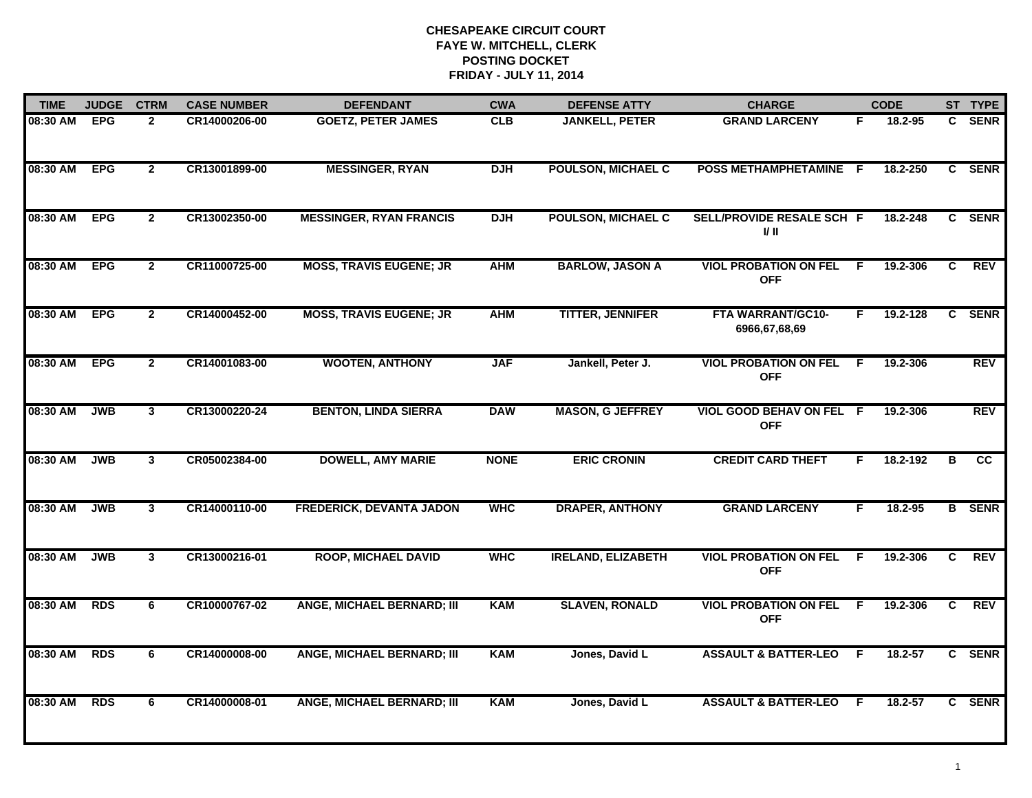| <b>TIME</b> | <b>JUDGE</b> | <b>CTRM</b>    | <b>CASE NUMBER</b> | <b>DEFENDANT</b>                  | <b>CWA</b>  | <b>DEFENSE ATTY</b>       | <b>CHARGE</b>                              |    | <b>CODE</b> |    | ST TYPE       |
|-------------|--------------|----------------|--------------------|-----------------------------------|-------------|---------------------------|--------------------------------------------|----|-------------|----|---------------|
| 08:30 AM    | <b>EPG</b>   | $\mathbf{2}$   | CR14000206-00      | <b>GOETZ, PETER JAMES</b>         | <b>CLB</b>  | <b>JANKELL, PETER</b>     | <b>GRAND LARCENY</b>                       | F. | 18.2-95     |    | C SENR        |
| 08:30 AM    | <b>EPG</b>   | $\mathbf{2}$   | CR13001899-00      | <b>MESSINGER, RYAN</b>            | <b>DJH</b>  | <b>POULSON, MICHAEL C</b> | POSS METHAMPHETAMINE F                     |    | 18.2-250    |    | C SENR        |
| 08:30 AM    | <b>EPG</b>   | $\mathbf{2}$   | CR13002350-00      | <b>MESSINGER, RYAN FRANCIS</b>    | <b>DJH</b>  | <b>POULSON, MICHAEL C</b> | SELL/PROVIDE RESALE SCH F<br>I/ II         |    | 18.2-248    |    | C SENR        |
| 08:30 AM    | <b>EPG</b>   | $\mathbf{2}$   | CR11000725-00      | <b>MOSS, TRAVIS EUGENE; JR</b>    | <b>AHM</b>  | <b>BARLOW, JASON A</b>    | <b>VIOL PROBATION ON FEL</b><br><b>OFF</b> | -F | 19.2-306    | C  | <b>REV</b>    |
| 08:30 AM    | <b>EPG</b>   | $\overline{2}$ | CR14000452-00      | <b>MOSS, TRAVIS EUGENE; JR</b>    | <b>AHM</b>  | <b>TITTER, JENNIFER</b>   | FTA WARRANT/GC10-<br>6966,67,68,69         | F. | 19.2-128    | C. | <b>SENR</b>   |
| 08:30 AM    | <b>EPG</b>   | $\overline{2}$ | CR14001083-00      | <b>WOOTEN, ANTHONY</b>            | <b>JAF</b>  | Jankell, Peter J.         | <b>VIOL PROBATION ON FEL</b><br><b>OFF</b> | -F | 19.2-306    |    | <b>REV</b>    |
| 08:30 AM    | <b>JWB</b>   | $\overline{3}$ | CR13000220-24      | <b>BENTON, LINDA SIERRA</b>       | <b>DAW</b>  | <b>MASON, G JEFFREY</b>   | VIOL GOOD BEHAV ON FEL F<br><b>OFF</b>     |    | 19.2-306    |    | <b>REV</b>    |
| 08:30 AM    | <b>JWB</b>   | $\mathbf{3}$   | CR05002384-00      | <b>DOWELL, AMY MARIE</b>          | <b>NONE</b> | <b>ERIC CRONIN</b>        | <b>CREDIT CARD THEFT</b>                   | F  | 18.2-192    | в  | cc            |
| 08:30 AM    | <b>JWB</b>   | $\mathbf{3}$   | CR14000110-00      | <b>FREDERICK, DEVANTA JADON</b>   | <b>WHC</b>  | <b>DRAPER, ANTHONY</b>    | <b>GRAND LARCENY</b>                       | F  | $18.2 - 95$ |    | <b>B</b> SENR |
| 08:30 AM    | <b>JWB</b>   | $\mathbf{3}$   | CR13000216-01      | <b>ROOP, MICHAEL DAVID</b>        | <b>WHC</b>  | <b>IRELAND, ELIZABETH</b> | <b>VIOL PROBATION ON FEL</b><br><b>OFF</b> | F  | 19.2-306    | C  | <b>REV</b>    |
| 08:30 AM    | <b>RDS</b>   | 6              | CR10000767-02      | <b>ANGE, MICHAEL BERNARD; III</b> | <b>KAM</b>  | <b>SLAVEN, RONALD</b>     | <b>VIOL PROBATION ON FEL</b><br><b>OFF</b> | F. | 19.2-306    | C. | <b>REV</b>    |
| 08:30 AM    | <b>RDS</b>   | 6              | CR14000008-00      | <b>ANGE, MICHAEL BERNARD; III</b> | <b>KAM</b>  | Jones, David L            | <b>ASSAULT &amp; BATTER-LEO</b>            | F. | $18.2 - 57$ |    | C SENR        |
| 08:30 AM    | <b>RDS</b>   | 6              | CR14000008-01      | <b>ANGE, MICHAEL BERNARD; III</b> | <b>KAM</b>  | Jones, David L            | <b>ASSAULT &amp; BATTER-LEO</b>            | -F | $18.2 - 57$ |    | C SENR        |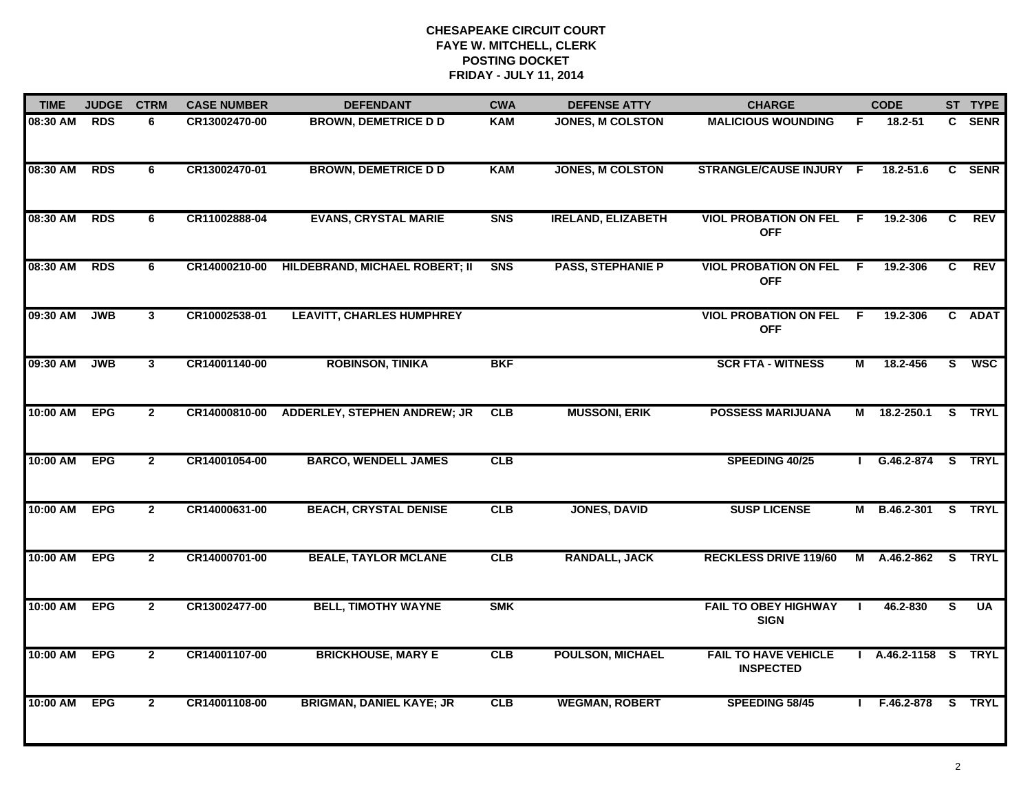| <b>TIME</b> | <b>JUDGE</b> | <b>CTRM</b>             | <b>CASE NUMBER</b> | <b>DEFENDANT</b>                    | <b>CWA</b> | <b>DEFENSE ATTY</b>       | <b>CHARGE</b>                                   |     | <b>CODE</b>       |                | ST TYPE       |
|-------------|--------------|-------------------------|--------------------|-------------------------------------|------------|---------------------------|-------------------------------------------------|-----|-------------------|----------------|---------------|
| 08:30 AM    | <b>RDS</b>   | 6                       | CR13002470-00      | <b>BROWN, DEMETRICE D D</b>         | KAM        | <b>JONES, M COLSTON</b>   | <b>MALICIOUS WOUNDING</b>                       | F.  | 18.2-51           |                | C SENR        |
| 08:30 AM    | <b>RDS</b>   | 6                       | CR13002470-01      | <b>BROWN, DEMETRICE D D</b>         | <b>KAM</b> | <b>JONES, M COLSTON</b>   | STRANGLE/CAUSE INJURY F                         |     | 18.2-51.6         |                | C SENR        |
| 08:30 AM    | <b>RDS</b>   | 6                       | CR11002888-04      | <b>EVANS, CRYSTAL MARIE</b>         | <b>SNS</b> | <b>IRELAND, ELIZABETH</b> | <b>VIOL PROBATION ON FEL</b><br><b>OFF</b>      | - F | 19.2-306          | $\overline{c}$ | <b>REV</b>    |
| 08:30 AM    | <b>RDS</b>   | 6                       | CR14000210-00      | HILDEBRAND, MICHAEL ROBERT; II      | <b>SNS</b> | <b>PASS, STEPHANIE P</b>  | <b>VIOL PROBATION ON FEL</b><br><b>OFF</b>      | F.  | 19.2-306          | C.             | <b>REV</b>    |
| 09:30 AM    | <b>JWB</b>   | $\mathbf{3}$            | CR10002538-01      | <b>LEAVITT, CHARLES HUMPHREY</b>    |            |                           | <b>VIOL PROBATION ON FEL</b><br><b>OFF</b>      | E   | 19.2-306          |                | C ADAT        |
| 09:30 AM    | <b>JWB</b>   | $\overline{\mathbf{3}}$ | CR14001140-00      | <b>ROBINSON, TINIKA</b>             | <b>BKF</b> |                           | <b>SCR FTA - WITNESS</b>                        | М   | 18.2-456          | S.             | <b>WSC</b>    |
| 10:00 AM    | <b>EPG</b>   | $\overline{2}$          | CR14000810-00      | <b>ADDERLEY, STEPHEN ANDREW; JR</b> | CLB        | <b>MUSSONI, ERIK</b>      | <b>POSSESS MARIJUANA</b>                        | М   | 18.2-250.1        | s              | <b>TRYL</b>   |
| 10:00 AM    | <b>EPG</b>   | $\overline{2}$          | CR14001054-00      | <b>BARCO, WENDELL JAMES</b>         | CLB        |                           | SPEEDING 40/25                                  |     | G.46.2-874 S TRYL |                |               |
| 10:00 AM    | <b>EPG</b>   | $\overline{2}$          | CR14000631-00      | <b>BEACH, CRYSTAL DENISE</b>        | CLB        | <b>JONES, DAVID</b>       | <b>SUSP LICENSE</b>                             | М   | B.46.2-301        |                | S TRYL        |
| 10:00 AM    | <b>EPG</b>   | $\mathbf{2}$            | CR14000701-00      | <b>BEALE, TAYLOR MCLANE</b>         | CLB        | <b>RANDALL, JACK</b>      | <b>RECKLESS DRIVE 119/60</b>                    | М   | A.46.2-862        | <b>S</b>       | <b>TRYL</b>   |
| 10:00 AM    | <b>EPG</b>   | $\mathbf{2}$            | CR13002477-00      | <b>BELL, TIMOTHY WAYNE</b>          | <b>SMK</b> |                           | <b>FAIL TO OBEY HIGHWAY</b><br><b>SIGN</b>      |     | 46.2-830          | S              | UA            |
| 10:00 AM    | <b>EPG</b>   | $\overline{2}$          | CR14001107-00      | <b>BRICKHOUSE, MARY E</b>           | CLB        | <b>POULSON, MICHAEL</b>   | <b>FAIL TO HAVE VEHICLE</b><br><b>INSPECTED</b> |     | A.46.2-1158 S     |                | <b>TRYL</b>   |
| 10:00 AM    | <b>EPG</b>   | $\mathbf{2}$            | CR14001108-00      | <b>BRIGMAN, DANIEL KAYE; JR</b>     | CLB        | <b>WEGMAN, ROBERT</b>     | SPEEDING 58/45                                  |     | F.46.2-878        |                | <b>S</b> TRYL |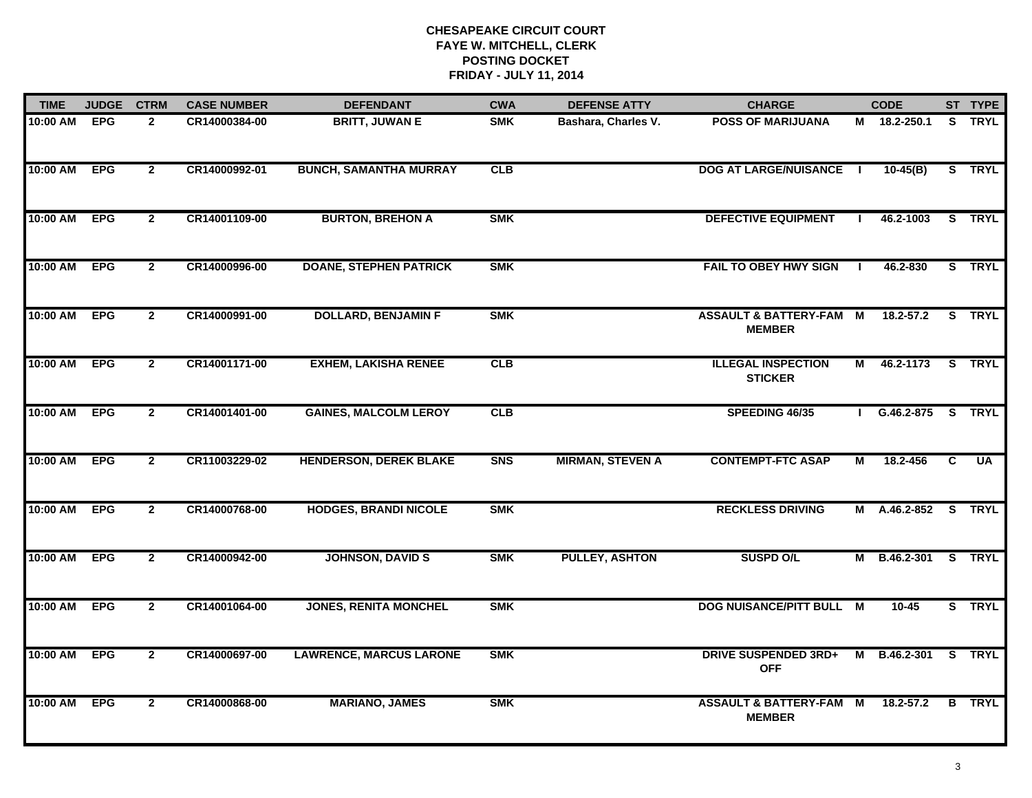| <b>TIME</b> | <b>JUDGE</b> | <b>CTRM</b>    | <b>CASE NUMBER</b> | <b>DEFENDANT</b>               | <b>CWA</b> | <b>DEFENSE ATTY</b>     | <b>CHARGE</b>                                       |    | <b>CODE</b>         |   | ST TYPE       |
|-------------|--------------|----------------|--------------------|--------------------------------|------------|-------------------------|-----------------------------------------------------|----|---------------------|---|---------------|
| 10:00 AM    | <b>EPG</b>   | $\mathbf{2}$   | CR14000384-00      | <b>BRITT, JUWAN E</b>          | <b>SMK</b> | Bashara, Charles V.     | <b>POSS OF MARIJUANA</b>                            |    | M 18.2-250.1        |   | S TRYL        |
| 10:00 AM    | <b>EPG</b>   | $\overline{2}$ | CR14000992-01      | <b>BUNCH, SAMANTHA MURRAY</b>  | CLB        |                         | <b>DOG AT LARGE/NUISANCE</b>                        |    | $10-45(B)$          |   | S TRYL        |
| 10:00 AM    | <b>EPG</b>   | $\overline{2}$ | CR14001109-00      | <b>BURTON, BREHON A</b>        | <b>SMK</b> |                         | <b>DEFECTIVE EQUIPMENT</b>                          |    | 46.2-1003           |   | S TRYL        |
| 10:00 AM    | <b>EPG</b>   | $\overline{2}$ | CR14000996-00      | <b>DOANE, STEPHEN PATRICK</b>  | <b>SMK</b> |                         | <b>FAIL TO OBEY HWY SIGN</b>                        | -1 | 46.2-830            |   | S TRYL        |
| 10:00 AM    | <b>EPG</b>   | $\mathbf{2}$   | CR14000991-00      | <b>DOLLARD, BENJAMIN F</b>     | <b>SMK</b> |                         | <b>ASSAULT &amp; BATTERY-FAM M</b><br><b>MEMBER</b> |    | $18.2 - 57.2$       |   | S TRYL        |
| 10:00 AM    | <b>EPG</b>   | $\mathbf{2}$   | CR14001171-00      | <b>EXHEM, LAKISHA RENEE</b>    | CLB        |                         | <b>ILLEGAL INSPECTION</b><br><b>STICKER</b>         | M  | 46.2-1173           |   | S TRYL        |
| 10:00 AM    | <b>EPG</b>   | $\overline{2}$ | CR14001401-00      | <b>GAINES, MALCOLM LEROY</b>   | CLB        |                         | SPEEDING 46/35                                      |    | G.46.2-875 S TRYL   |   |               |
| 10:00 AM    | <b>EPG</b>   | $\overline{2}$ | CR11003229-02      | <b>HENDERSON, DEREK BLAKE</b>  | <b>SNS</b> | <b>MIRMAN, STEVEN A</b> | <b>CONTEMPT-FTC ASAP</b>                            | М  | 18.2-456            | C | UA            |
| 10:00 AM    | <b>EPG</b>   | $\mathbf{2}$   | CR14000768-00      | <b>HODGES, BRANDI NICOLE</b>   | <b>SMK</b> |                         | <b>RECKLESS DRIVING</b>                             |    | M A.46.2-852 S TRYL |   |               |
| 10:00 AM    | <b>EPG</b>   | $\overline{2}$ | CR14000942-00      | <b>JOHNSON, DAVID S</b>        | <b>SMK</b> | <b>PULLEY, ASHTON</b>   | <b>SUSPD O/L</b>                                    |    | M B.46.2-301        |   | S TRYL        |
| 10:00 AM    | <b>EPG</b>   | $\mathbf{2}$   | CR14001064-00      | <b>JONES, RENITA MONCHEL</b>   | <b>SMK</b> |                         | DOG NUISANCE/PITT BULL M                            |    | $10 - 45$           |   | S TRYL        |
| 10:00 AM    | <b>EPG</b>   | $\overline{2}$ | CR14000697-00      | <b>LAWRENCE, MARCUS LARONE</b> | <b>SMK</b> |                         | <b>DRIVE SUSPENDED 3RD+</b><br><b>OFF</b>           |    | M B.46.2-301 S TRYL |   |               |
| 10:00 AM    | <b>EPG</b>   | $\overline{2}$ | CR14000868-00      | <b>MARIANO, JAMES</b>          | <b>SMK</b> |                         | <b>ASSAULT &amp; BATTERY-FAM M</b><br><b>MEMBER</b> |    | $18.2 - 57.2$       |   | <b>B</b> TRYL |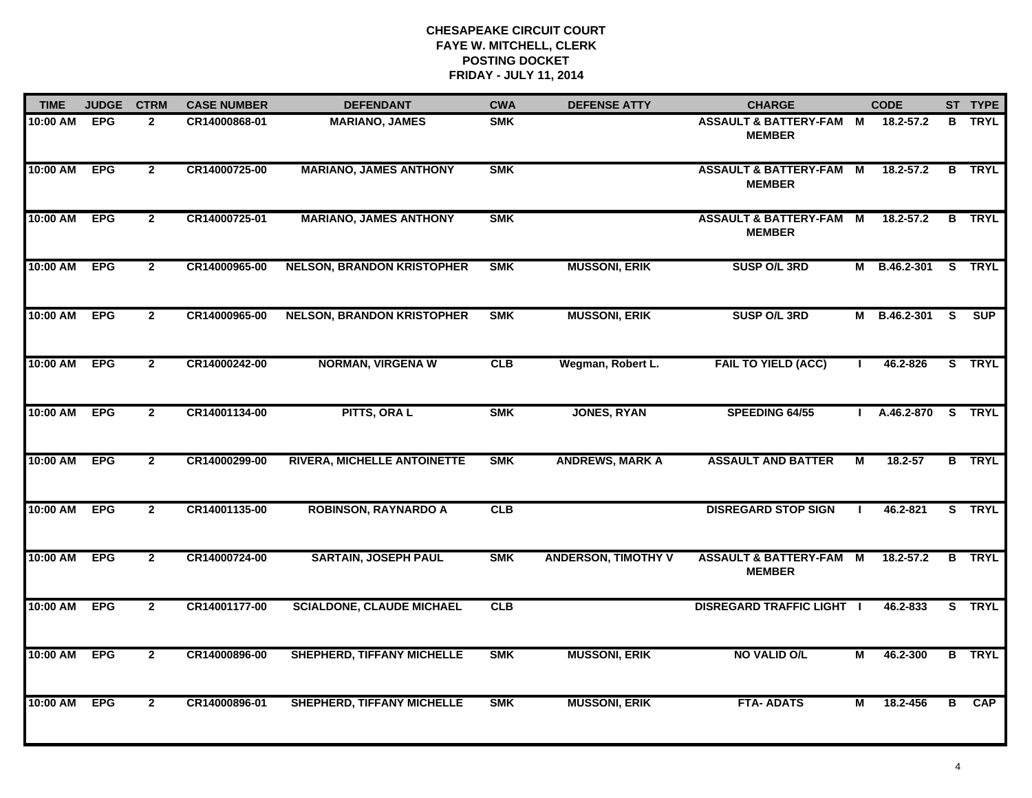| <b>TIME</b> | <b>JUDGE</b> | <b>CTRM</b>    | <b>CASE NUMBER</b> | <b>DEFENDANT</b>                   | <b>CWA</b> | <b>DEFENSE ATTY</b>        | <b>CHARGE</b>                                       |          | <b>CODE</b>         |          | ST TYPE       |
|-------------|--------------|----------------|--------------------|------------------------------------|------------|----------------------------|-----------------------------------------------------|----------|---------------------|----------|---------------|
| 10:00 AM    | <b>EPG</b>   | $\mathbf{2}$   | CR14000868-01      | <b>MARIANO, JAMES</b>              | <b>SMK</b> |                            | <b>ASSAULT &amp; BATTERY-FAM</b><br><b>MEMBER</b>   | <b>M</b> | 18.2-57.2           | в        | <b>TRYL</b>   |
| 10:00 AM    | <b>EPG</b>   | $\mathbf{2}$   | CR14000725-00      | <b>MARIANO, JAMES ANTHONY</b>      | <b>SMK</b> |                            | <b>ASSAULT &amp; BATTERY-FAM M</b><br><b>MEMBER</b> |          | 18.2-57.2           |          | <b>B</b> TRYL |
| 10:00 AM    | <b>EPG</b>   | $\mathbf{2}$   | CR14000725-01      | <b>MARIANO, JAMES ANTHONY</b>      | <b>SMK</b> |                            | <b>ASSAULT &amp; BATTERY-FAM M</b><br><b>MEMBER</b> |          | $18.2 - 57.2$       |          | <b>B</b> TRYL |
| 10:00 AM    | <b>EPG</b>   | $\mathbf{2}$   | CR14000965-00      | <b>NELSON, BRANDON KRISTOPHER</b>  | <b>SMK</b> | <b>MUSSONI, ERIK</b>       | <b>SUSP O/L 3RD</b>                                 |          | M B.46.2-301 S TRYL |          |               |
| 10:00 AM    | <b>EPG</b>   | $\mathbf{2}$   | CR14000965-00      | <b>NELSON, BRANDON KRISTOPHER</b>  | <b>SMK</b> | <b>MUSSONI, ERIK</b>       | <b>SUSP O/L 3RD</b>                                 |          | M B.46.2-301        | <b>S</b> | <b>SUP</b>    |
| 10:00 AM    | <b>EPG</b>   | $\overline{2}$ | CR14000242-00      | <b>NORMAN, VIRGENA W</b>           | <b>CLB</b> | Wegman, Robert L.          | <b>FAIL TO YIELD (ACC)</b>                          |          | 46.2-826            |          | S TRYL        |
| 10:00 AM    | <b>EPG</b>   | $\overline{2}$ | CR14001134-00      | PITTS, ORA L                       | <b>SMK</b> | <b>JONES, RYAN</b>         | SPEEDING 64/55                                      |          | A.46.2-870 S TRYL   |          |               |
| 10:00 AM    | <b>EPG</b>   | $\overline{2}$ | CR14000299-00      | <b>RIVERA, MICHELLE ANTOINETTE</b> | <b>SMK</b> | <b>ANDREWS, MARK A</b>     | <b>ASSAULT AND BATTER</b>                           | М        | 18.2-57             |          | <b>B</b> TRYL |
| 10:00 AM    | <b>EPG</b>   | $\mathbf{2}$   | CR14001135-00      | <b>ROBINSON, RAYNARDO A</b>        | <b>CLB</b> |                            | <b>DISREGARD STOP SIGN</b>                          |          | 46.2-821            |          | S TRYL        |
| 10:00 AM    | <b>EPG</b>   | $\mathbf{2}$   | CR14000724-00      | <b>SARTAIN, JOSEPH PAUL</b>        | <b>SMK</b> | <b>ANDERSON, TIMOTHY V</b> | <b>ASSAULT &amp; BATTERY-FAM M</b><br><b>MEMBER</b> |          | $18.2 - 57.2$       |          | <b>B</b> TRYL |
| 10:00 AM    | <b>EPG</b>   | $\overline{2}$ | CR14001177-00      | <b>SCIALDONE, CLAUDE MICHAEL</b>   | CLB        |                            | <b>DISREGARD TRAFFIC LIGHT I</b>                    |          | 46.2-833            |          | S TRYL        |
| 10:00 AM    | <b>EPG</b>   | $\overline{2}$ | CR14000896-00      | <b>SHEPHERD, TIFFANY MICHELLE</b>  | <b>SMK</b> | <b>MUSSONI, ERIK</b>       | NO VALID O/L                                        | М        | 46.2-300            |          | <b>B</b> TRYL |
| 10:00 AM    | <b>EPG</b>   | $\mathbf{2}$   | CR14000896-01      | <b>SHEPHERD, TIFFANY MICHELLE</b>  | <b>SMK</b> | <b>MUSSONI, ERIK</b>       | <b>FTA- ADATS</b>                                   | М        | 18.2-456            | B        | CAP           |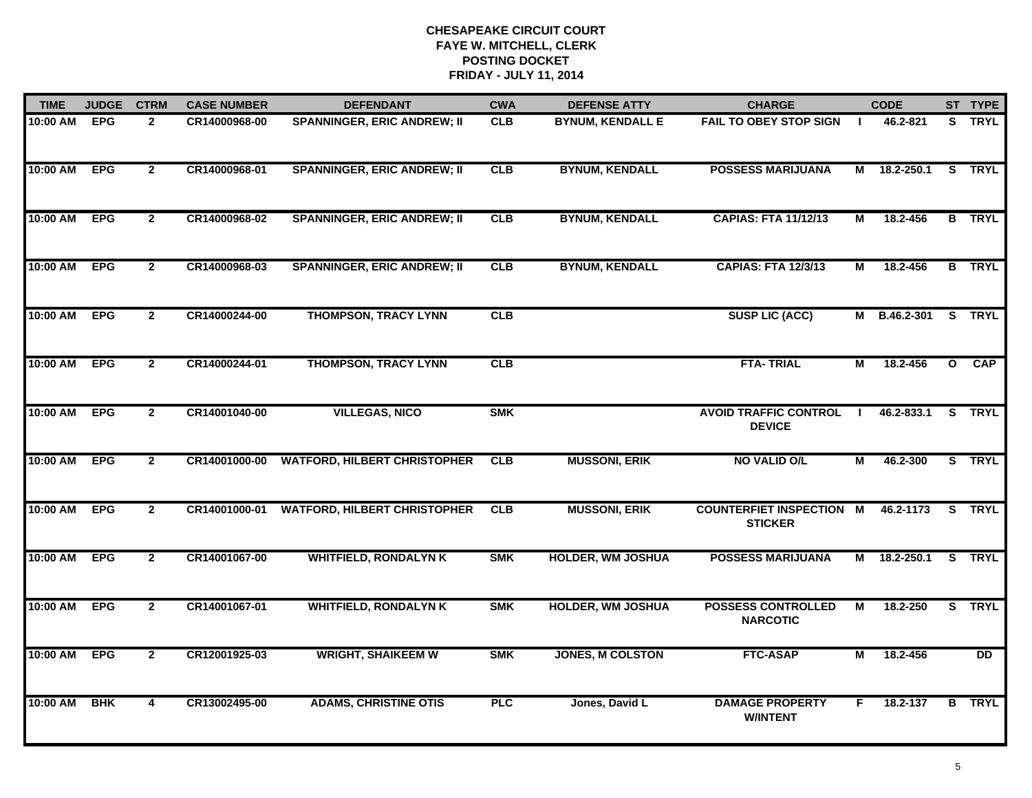| <b>TIME</b>  | <b>JUDGE</b> | <b>CTRM</b>    | <b>CASE NUMBER</b> | <b>DEFENDANT</b>                    | <b>CWA</b> | <b>DEFENSE ATTY</b>      | <b>CHARGE</b>                                     |                | <b>CODE</b>  |                         | ST TYPE         |
|--------------|--------------|----------------|--------------------|-------------------------------------|------------|--------------------------|---------------------------------------------------|----------------|--------------|-------------------------|-----------------|
| 10:00 AM     | <b>EPG</b>   | $\mathbf{2}$   | CR14000968-00      | <b>SPANNINGER, ERIC ANDREW; II</b>  | <b>CLB</b> | <b>BYNUM, KENDALL E</b>  | <b>FAIL TO OBEY STOP SIGN</b>                     | $\blacksquare$ | 46.2-821     |                         | S TRYL          |
| 10:00 AM EPG |              | $\mathbf{2}$   | CR14000968-01      | <b>SPANNINGER, ERIC ANDREW; II</b>  | CLB        | <b>BYNUM, KENDALL</b>    | <b>POSSESS MARIJUANA</b>                          | М              | 18.2-250.1   |                         | S TRYL          |
| 10:00 AM     | <b>EPG</b>   | $\overline{2}$ | CR14000968-02      | <b>SPANNINGER, ERIC ANDREW; II</b>  | CLB        | <b>BYNUM, KENDALL</b>    | <b>CAPIAS: FTA 11/12/13</b>                       | М              | 18.2-456     |                         | <b>B</b> TRYL   |
| 10:00 AM     | <b>EPG</b>   | $\mathbf{2}$   | CR14000968-03      | <b>SPANNINGER, ERIC ANDREW; II</b>  | <b>CLB</b> | <b>BYNUM, KENDALL</b>    | <b>CAPIAS: FTA 12/3/13</b>                        | М              | 18.2-456     |                         | <b>B</b> TRYL   |
| 10:00 AM     | <b>EPG</b>   | $\mathbf{2}$   | CR14000244-00      | <b>THOMPSON, TRACY LYNN</b>         | CLB        |                          | <b>SUSP LIC (ACC)</b>                             |                | M B.46.2-301 |                         | S TRYL          |
| 10:00 AM EPG |              | $\mathbf{2}$   | CR14000244-01      | <b>THOMPSON, TRACY LYNN</b>         | CLB        |                          | <b>FTA-TRIAL</b>                                  | М              | 18.2-456     | $\overline{\mathbf{o}}$ | CAP             |
| 10:00 AM EPG |              | $\overline{2}$ | CR14001040-00      | <b>VILLEGAS, NICO</b>               | <b>SMK</b> |                          | <b>AVOID TRAFFIC CONTROL</b><br><b>DEVICE</b>     | $\blacksquare$ | 46.2-833.1   |                         | S TRYL          |
| 10:00 AM EPG |              | $\overline{2}$ | CR14001000-00      | <b>WATFORD, HILBERT CHRISTOPHER</b> | CLB        | <b>MUSSONI, ERIK</b>     | <b>NO VALID O/L</b>                               | $\overline{M}$ | 46.2-300     |                         | S TRYL          |
| 10:00 AM     | <b>EPG</b>   | $\overline{2}$ | CR14001000-01      | <b>WATFORD, HILBERT CHRISTOPHER</b> | <b>CLB</b> | <b>MUSSONI, ERIK</b>     | <b>COUNTERFIET INSPECTION M</b><br><b>STICKER</b> |                | 46.2-1173    |                         | S TRYL          |
| 10:00 AM     | <b>EPG</b>   | $\overline{2}$ | CR14001067-00      | <b>WHITFIELD, RONDALYN K</b>        | <b>SMK</b> | <b>HOLDER, WM JOSHUA</b> | <b>POSSESS MARIJUANA</b>                          | M              | 18.2-250.1   |                         | S TRYL          |
| 10:00 AM     | <b>EPG</b>   | $\mathbf{2}$   | CR14001067-01      | <b>WHITFIELD, RONDALYN K</b>        | <b>SMK</b> | <b>HOLDER, WM JOSHUA</b> | <b>POSSESS CONTROLLED</b><br><b>NARCOTIC</b>      | М              | 18.2-250     | S.                      | <b>TRYL</b>     |
| 10:00 AM     | <b>EPG</b>   | $\overline{2}$ | CR12001925-03      | <b>WRIGHT, SHAIKEEM W</b>           | <b>SMK</b> | <b>JONES, M COLSTON</b>  | <b>FTC-ASAP</b>                                   | М              | 18.2-456     |                         | $\overline{DD}$ |
| 10:00 AM     | <b>BHK</b>   | 4              | CR13002495-00      | <b>ADAMS, CHRISTINE OTIS</b>        | <b>PLC</b> | Jones, David L           | <b>DAMAGE PROPERTY</b><br><b>W/INTENT</b>         | F.             | 18.2-137     |                         | <b>B</b> TRYL   |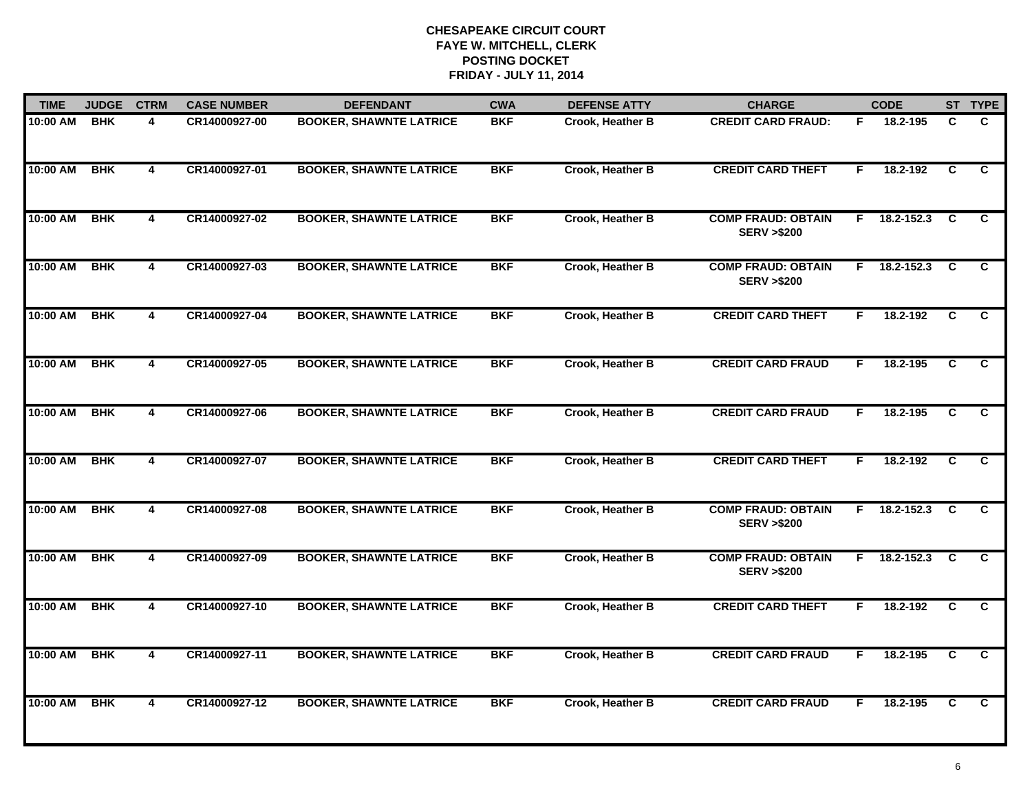| <b>TIME</b> | <b>JUDGE</b> | <b>CTRM</b>             | <b>CASE NUMBER</b> | <b>DEFENDANT</b>               | <b>CWA</b> | <b>DEFENSE ATTY</b>     | <b>CHARGE</b>                                      |    | <b>CODE</b> |                | ST TYPE        |
|-------------|--------------|-------------------------|--------------------|--------------------------------|------------|-------------------------|----------------------------------------------------|----|-------------|----------------|----------------|
| 10:00 AM    | <b>BHK</b>   | 4                       | CR14000927-00      | <b>BOOKER, SHAWNTE LATRICE</b> | <b>BKF</b> | Crook, Heather B        | <b>CREDIT CARD FRAUD:</b>                          | F. | 18.2-195    | C              | C.             |
| 10:00 AM    | <b>BHK</b>   | $\overline{\mathbf{4}}$ | CR14000927-01      | <b>BOOKER, SHAWNTE LATRICE</b> | <b>BKF</b> | Crook, Heather B        | <b>CREDIT CARD THEFT</b>                           | F  | 18.2-192    | C              | C              |
| 10:00 AM    | <b>BHK</b>   | $\overline{\mathbf{4}}$ | CR14000927-02      | <b>BOOKER, SHAWNTE LATRICE</b> | <b>BKF</b> | <b>Crook, Heather B</b> | <b>COMP FRAUD: OBTAIN</b><br><b>SERV &gt;\$200</b> | F. | 18.2-152.3  | <b>C</b>       | C              |
| 10:00 AM    | <b>BHK</b>   | 4                       | CR14000927-03      | <b>BOOKER, SHAWNTE LATRICE</b> | <b>BKF</b> | Crook, Heather B        | <b>COMP FRAUD: OBTAIN</b><br><b>SERV &gt;\$200</b> | F. | 18.2-152.3  | <b>C</b>       | C              |
| 10:00 AM    | <b>BHK</b>   | 4                       | CR14000927-04      | <b>BOOKER, SHAWNTE LATRICE</b> | <b>BKF</b> | Crook, Heather B        | <b>CREDIT CARD THEFT</b>                           | F. | 18.2-192    | C              | C              |
| 10:00 AM    | <b>BHK</b>   | 4                       | CR14000927-05      | <b>BOOKER, SHAWNTE LATRICE</b> | <b>BKF</b> | <b>Crook, Heather B</b> | <b>CREDIT CARD FRAUD</b>                           | F. | 18.2-195    | C              | C.             |
| 10:00 AM    | <b>BHK</b>   | $\overline{4}$          | CR14000927-06      | <b>BOOKER, SHAWNTE LATRICE</b> | <b>BKF</b> | Crook, Heather B        | <b>CREDIT CARD FRAUD</b>                           | F. | 18.2-195    | $\overline{c}$ | $\overline{c}$ |
| 10:00 AM    | <b>BHK</b>   | 4                       | CR14000927-07      | <b>BOOKER, SHAWNTE LATRICE</b> | <b>BKF</b> | Crook, Heather B        | <b>CREDIT CARD THEFT</b>                           | F  | 18.2-192    | C              | C              |
| 10:00 AM    | <b>BHK</b>   | 4                       | CR14000927-08      | <b>BOOKER, SHAWNTE LATRICE</b> | <b>BKF</b> | Crook, Heather B        | <b>COMP FRAUD: OBTAIN</b><br><b>SERV &gt;\$200</b> | F. | 18.2-152.3  | C              | C              |
| 10:00 AM    | <b>BHK</b>   | 4                       | CR14000927-09      | <b>BOOKER, SHAWNTE LATRICE</b> | <b>BKF</b> | Crook, Heather B        | <b>COMP FRAUD: OBTAIN</b><br><b>SERV &gt;\$200</b> | F. | 18.2-152.3  | C              | C              |
| 10:00 AM    | <b>BHK</b>   | 4                       | CR14000927-10      | <b>BOOKER, SHAWNTE LATRICE</b> | <b>BKF</b> | <b>Crook, Heather B</b> | <b>CREDIT CARD THEFT</b>                           | F  | 18.2-192    | C              | C              |
| 10:00 AM    | <b>BHK</b>   | $\overline{\mathbf{4}}$ | CR14000927-11      | <b>BOOKER, SHAWNTE LATRICE</b> | <b>BKF</b> | Crook, Heather B        | <b>CREDIT CARD FRAUD</b>                           | F. | 18.2-195    | C              | C.             |
| 10:00 AM    | <b>BHK</b>   | 4                       | CR14000927-12      | <b>BOOKER, SHAWNTE LATRICE</b> | <b>BKF</b> | Crook, Heather B        | <b>CREDIT CARD FRAUD</b>                           | F  | 18.2-195    | C              | C              |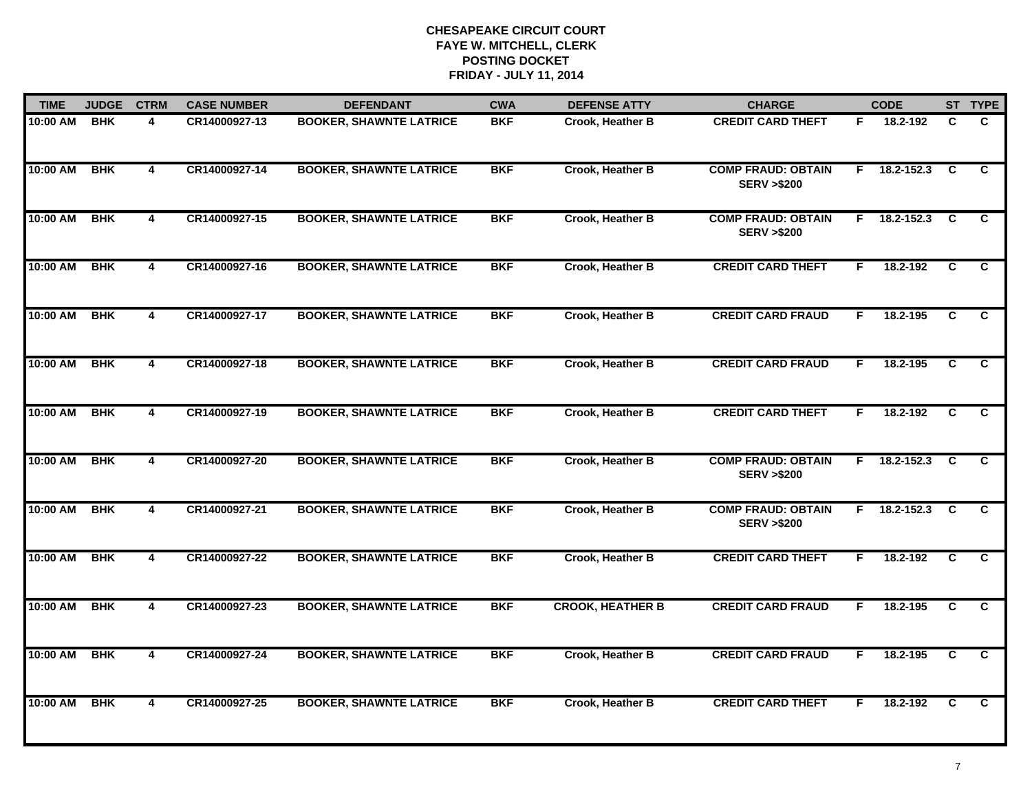| <b>TIME</b> | <b>JUDGE</b> | <b>CTRM</b>             | <b>CASE NUMBER</b> | <b>DEFENDANT</b>               | <b>CWA</b> | <b>DEFENSE ATTY</b>     | <b>CHARGE</b>                                      |    | <b>CODE</b>        |                | ST TYPE        |
|-------------|--------------|-------------------------|--------------------|--------------------------------|------------|-------------------------|----------------------------------------------------|----|--------------------|----------------|----------------|
| 10:00 AM    | <b>BHK</b>   | 4                       | CR14000927-13      | <b>BOOKER, SHAWNTE LATRICE</b> | <b>BKF</b> | <b>Crook, Heather B</b> | <b>CREDIT CARD THEFT</b>                           | F. | 18.2-192           | C              | C.             |
| 10:00 AM    | <b>BHK</b>   | $\overline{\mathbf{4}}$ | CR14000927-14      | <b>BOOKER, SHAWNTE LATRICE</b> | <b>BKF</b> | Crook, Heather B        | <b>COMP FRAUD: OBTAIN</b><br><b>SERV &gt;\$200</b> |    | $F = 18.2 - 152.3$ | C              | C              |
| 10:00 AM    | <b>BHK</b>   | 4                       | CR14000927-15      | <b>BOOKER, SHAWNTE LATRICE</b> | <b>BKF</b> | Crook, Heather B        | <b>COMP FRAUD: OBTAIN</b><br><b>SERV &gt;\$200</b> |    | $F = 18.2 - 152.3$ | <b>C</b>       | C              |
| 10:00 AM    | <b>BHK</b>   | 4                       | CR14000927-16      | <b>BOOKER, SHAWNTE LATRICE</b> | <b>BKF</b> | Crook, Heather B        | <b>CREDIT CARD THEFT</b>                           | F. | 18.2-192           | C              | C.             |
| 10:00 AM    | <b>BHK</b>   | $\overline{\mathbf{4}}$ | CR14000927-17      | <b>BOOKER, SHAWNTE LATRICE</b> | <b>BKF</b> | Crook, Heather B        | <b>CREDIT CARD FRAUD</b>                           | F. | 18.2-195           | C              | C              |
| 10:00 AM    | <b>BHK</b>   | 4                       | CR14000927-18      | <b>BOOKER, SHAWNTE LATRICE</b> | <b>BKF</b> | <b>Crook, Heather B</b> | <b>CREDIT CARD FRAUD</b>                           | F. | 18.2-195           | C              | C.             |
| 10:00 AM    | <b>BHK</b>   | 4                       | CR14000927-19      | <b>BOOKER, SHAWNTE LATRICE</b> | <b>BKF</b> | Crook, Heather B        | <b>CREDIT CARD THEFT</b>                           | F. | 18.2-192           | $\overline{c}$ | $\overline{c}$ |
| 10:00 AM    | <b>BHK</b>   | 4                       | CR14000927-20      | <b>BOOKER, SHAWNTE LATRICE</b> | <b>BKF</b> | <b>Crook, Heather B</b> | <b>COMP FRAUD: OBTAIN</b><br><b>SERV &gt;\$200</b> |    | $F$ 18.2-152.3     | <b>C</b>       | C.             |
| 10:00 AM    | <b>BHK</b>   | 4                       | CR14000927-21      | <b>BOOKER, SHAWNTE LATRICE</b> | <b>BKF</b> | Crook, Heather B        | <b>COMP FRAUD: OBTAIN</b><br><b>SERV &gt;\$200</b> | F. | 18.2-152.3         | C              | C              |
| 10:00 AM    | <b>BHK</b>   | 4                       | CR14000927-22      | <b>BOOKER, SHAWNTE LATRICE</b> | <b>BKF</b> | <b>Crook, Heather B</b> | <b>CREDIT CARD THEFT</b>                           | F. | 18.2-192           | C              | C              |
| 10:00 AM    | <b>BHK</b>   | $\overline{\mathbf{4}}$ | CR14000927-23      | <b>BOOKER, SHAWNTE LATRICE</b> | <b>BKF</b> | <b>CROOK, HEATHER B</b> | <b>CREDIT CARD FRAUD</b>                           | F. | 18.2-195           | $\overline{c}$ | C              |
| 10:00 AM    | <b>BHK</b>   | 4                       | CR14000927-24      | <b>BOOKER, SHAWNTE LATRICE</b> | <b>BKF</b> | Crook, Heather B        | <b>CREDIT CARD FRAUD</b>                           | F. | 18.2-195           | $\overline{c}$ | $\overline{c}$ |
| 10:00 AM    | <b>BHK</b>   | 4                       | CR14000927-25      | <b>BOOKER, SHAWNTE LATRICE</b> | <b>BKF</b> | <b>Crook, Heather B</b> | <b>CREDIT CARD THEFT</b>                           | F  | 18.2-192           | C              | C              |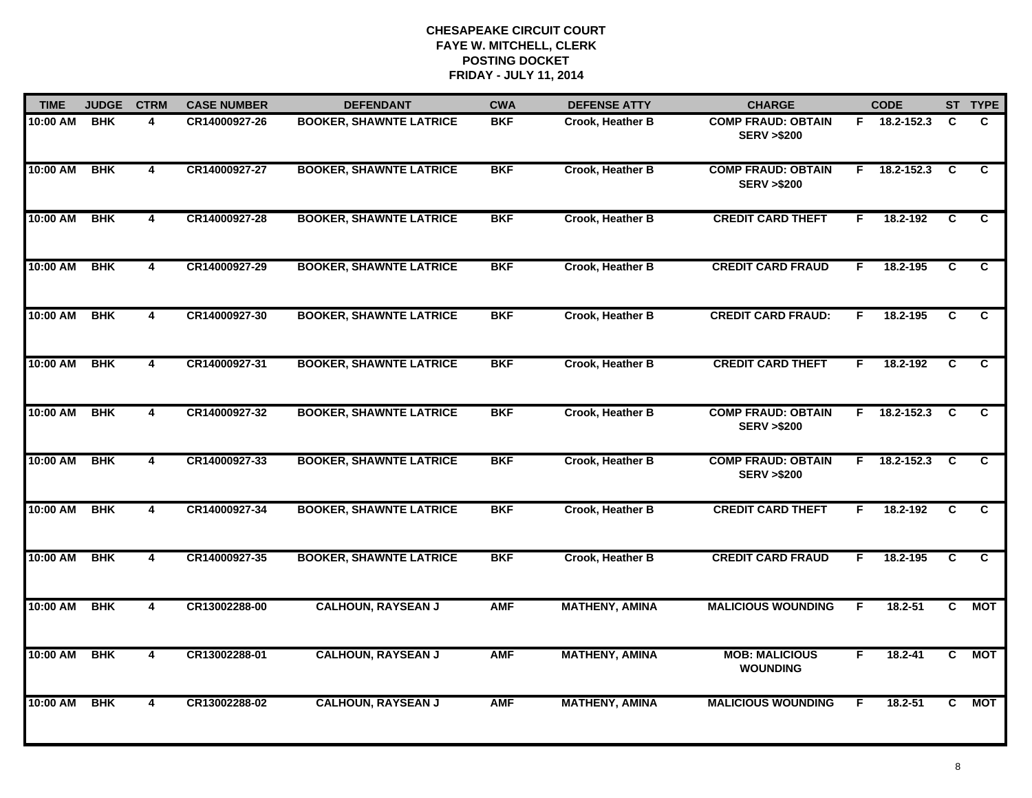| <b>TIME</b> | <b>JUDGE</b> | <b>CTRM</b>             | <b>CASE NUMBER</b> | <b>DEFENDANT</b>               | <b>CWA</b> | <b>DEFENSE ATTY</b>   | <b>CHARGE</b>                                      |    | <b>CODE</b>    |                | ST TYPE        |
|-------------|--------------|-------------------------|--------------------|--------------------------------|------------|-----------------------|----------------------------------------------------|----|----------------|----------------|----------------|
| 10:00 AM    | <b>BHK</b>   | 4                       | CR14000927-26      | <b>BOOKER, SHAWNTE LATRICE</b> | <b>BKF</b> | Crook, Heather B      | <b>COMP FRAUD: OBTAIN</b><br><b>SERV &gt;\$200</b> |    | F 18.2-152.3   | C              | C.             |
| 10:00 AM    | <b>BHK</b>   | $\overline{\mathbf{4}}$ | CR14000927-27      | <b>BOOKER, SHAWNTE LATRICE</b> | <b>BKF</b> | Crook, Heather B      | <b>COMP FRAUD: OBTAIN</b><br><b>SERV &gt;\$200</b> | F. | 18.2-152.3     | <b>C</b>       | C.             |
| 10:00 AM    | <b>BHK</b>   | 4                       | CR14000927-28      | <b>BOOKER, SHAWNTE LATRICE</b> | <b>BKF</b> | Crook, Heather B      | <b>CREDIT CARD THEFT</b>                           | F. | 18.2-192       | C              | C.             |
| 10:00 AM    | <b>BHK</b>   | 4                       | CR14000927-29      | <b>BOOKER, SHAWNTE LATRICE</b> | <b>BKF</b> | Crook, Heather B      | <b>CREDIT CARD FRAUD</b>                           | F. | 18.2-195       | C              | C.             |
| 10:00 AM    | <b>BHK</b>   | 4                       | CR14000927-30      | <b>BOOKER, SHAWNTE LATRICE</b> | <b>BKF</b> | Crook, Heather B      | <b>CREDIT CARD FRAUD:</b>                          | F. | 18.2-195       | C.             | C.             |
| 10:00 AM    | <b>BHK</b>   | 4                       | CR14000927-31      | <b>BOOKER, SHAWNTE LATRICE</b> | <b>BKF</b> | Crook, Heather B      | <b>CREDIT CARD THEFT</b>                           | F. | 18.2-192       | C.             | C.             |
| 10:00 AM    | <b>BHK</b>   | $\overline{\mathbf{4}}$ | CR14000927-32      | <b>BOOKER, SHAWNTE LATRICE</b> | <b>BKF</b> | Crook, Heather B      | <b>COMP FRAUD: OBTAIN</b><br><b>SERV &gt;\$200</b> | F. | $18.2 - 152.3$ | C              | $\overline{c}$ |
| 10:00 AM    | <b>BHK</b>   | $\overline{\mathbf{4}}$ | CR14000927-33      | <b>BOOKER, SHAWNTE LATRICE</b> | <b>BKF</b> | Crook, Heather B      | <b>COMP FRAUD: OBTAIN</b><br><b>SERV &gt;\$200</b> | F. | $18.2 - 152.3$ | C              | C              |
| 10:00 AM    | <b>BHK</b>   | 4                       | CR14000927-34      | <b>BOOKER, SHAWNTE LATRICE</b> | <b>BKF</b> | Crook, Heather B      | <b>CREDIT CARD THEFT</b>                           | F  | 18.2-192       | C              | C.             |
| 10:00 AM    | <b>BHK</b>   | $\overline{\mathbf{4}}$ | CR14000927-35      | <b>BOOKER, SHAWNTE LATRICE</b> | <b>BKF</b> | Crook, Heather B      | <b>CREDIT CARD FRAUD</b>                           | F. | 18.2-195       | C              | C              |
| 10:00 AM    | <b>BHK</b>   | 4                       | CR13002288-00      | <b>CALHOUN, RAYSEAN J</b>      | <b>AMF</b> | <b>MATHENY, AMINA</b> | <b>MALICIOUS WOUNDING</b>                          | F. | $18.2 - 51$    | C              | <b>MOT</b>     |
| 10:00 AM    | <b>BHK</b>   | 4                       | CR13002288-01      | <b>CALHOUN, RAYSEAN J</b>      | <b>AMF</b> | <b>MATHENY, AMINA</b> | <b>MOB: MALICIOUS</b><br><b>WOUNDING</b>           | F  | $18.2 - 41$    | $\overline{c}$ | <b>MOT</b>     |
| 10:00 AM    | <b>BHK</b>   | 4                       | CR13002288-02      | <b>CALHOUN, RAYSEAN J</b>      | <b>AMF</b> | <b>MATHENY, AMINA</b> | <b>MALICIOUS WOUNDING</b>                          | F  | 18.2-51        | C.             | <b>MOT</b>     |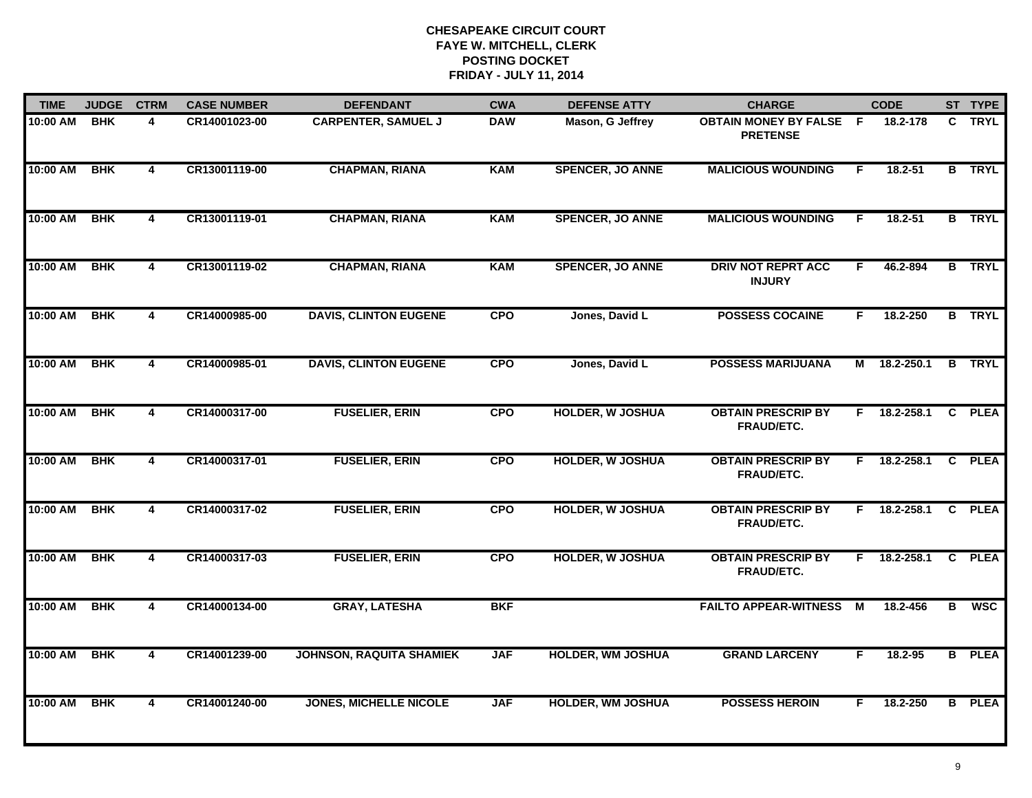| <b>TIME</b> | <b>JUDGE</b> | <b>CTRM</b>             | <b>CASE NUMBER</b> | <b>DEFENDANT</b>                | <b>CWA</b> | <b>DEFENSE ATTY</b>      | <b>CHARGE</b>                                   |     | <b>CODE</b>    |              | ST TYPE       |
|-------------|--------------|-------------------------|--------------------|---------------------------------|------------|--------------------------|-------------------------------------------------|-----|----------------|--------------|---------------|
| 10:00 AM    | <b>BHK</b>   | 4                       | CR14001023-00      | <b>CARPENTER, SAMUEL J</b>      | <b>DAW</b> | Mason, G Jeffrey         | <b>OBTAIN MONEY BY FALSE</b><br><b>PRETENSE</b> | - F | 18.2-178       | C.           | <b>TRYL</b>   |
| 10:00 AM    | <b>BHK</b>   | $\overline{4}$          | CR13001119-00      | <b>CHAPMAN, RIANA</b>           | <b>KAM</b> | <b>SPENCER, JO ANNE</b>  | <b>MALICIOUS WOUNDING</b>                       | F.  | $18.2 - 51$    |              | <b>B</b> TRYL |
| 10:00 AM    | <b>BHK</b>   | 4                       | CR13001119-01      | <b>CHAPMAN, RIANA</b>           | <b>KAM</b> | <b>SPENCER, JO ANNE</b>  | <b>MALICIOUS WOUNDING</b>                       | F   | 18.2-51        |              | <b>B</b> TRYL |
| 10:00 AM    | <b>BHK</b>   | 4                       | CR13001119-02      | <b>CHAPMAN, RIANA</b>           | <b>KAM</b> | <b>SPENCER, JO ANNE</b>  | <b>DRIV NOT REPRT ACC</b><br><b>INJURY</b>      | F   | 46.2-894       |              | <b>B</b> TRYL |
| 10:00 AM    | <b>BHK</b>   | $\overline{4}$          | CR14000985-00      | <b>DAVIS, CLINTON EUGENE</b>    | <b>CPO</b> | Jones, David L           | <b>POSSESS COCAINE</b>                          | F.  | 18.2-250       |              | <b>B</b> TRYL |
| 10:00 AM    | <b>BHK</b>   | 4                       | CR14000985-01      | <b>DAVIS, CLINTON EUGENE</b>    | <b>CPO</b> | Jones, David L           | <b>POSSESS MARIJUANA</b>                        | M   | 18.2-250.1     | B            | <b>TRYL</b>   |
| 10:00 AM    | <b>BHK</b>   | $\overline{\mathbf{4}}$ | CR14000317-00      | <b>FUSELIER, ERIN</b>           | <b>CPO</b> | <b>HOLDER, W JOSHUA</b>  | <b>OBTAIN PRESCRIP BY</b><br>FRAUD/ETC.         | F.  | 18.2-258.1     | $\mathbf{C}$ | <b>PLEA</b>   |
| 10:00 AM    | <b>BHK</b>   | 4                       | CR14000317-01      | <b>FUSELIER, ERIN</b>           | <b>CPO</b> | <b>HOLDER, W JOSHUA</b>  | <b>OBTAIN PRESCRIP BY</b><br><b>FRAUD/ETC.</b>  | F.  | 18.2-258.1     | $\mathbf{C}$ | <b>PLEA</b>   |
| 10:00 AM    | <b>BHK</b>   | 4                       | CR14000317-02      | <b>FUSELIER, ERIN</b>           | <b>CPO</b> | <b>HOLDER, W JOSHUA</b>  | <b>OBTAIN PRESCRIP BY</b><br>FRAUD/ETC.         | F.  | 18.2-258.1     | C.           | <b>PLEA</b>   |
| 10:00 AM    | <b>BHK</b>   | $\overline{\mathbf{4}}$ | CR14000317-03      | <b>FUSELIER, ERIN</b>           | <b>CPO</b> | <b>HOLDER, W JOSHUA</b>  | <b>OBTAIN PRESCRIP BY</b><br><b>FRAUD/ETC.</b>  |     | $F$ 18.2-258.1 | $\mathbf{C}$ | <b>PLEA</b>   |
| 10:00 AM    | <b>BHK</b>   | $\overline{4}$          | CR14000134-00      | <b>GRAY, LATESHA</b>            | <b>BKF</b> |                          | <b>FAILTO APPEAR-WITNESS</b>                    | M   | 18.2-456       | B            | <b>WSC</b>    |
| 10:00 AM    | <b>BHK</b>   | $\overline{\mathbf{4}}$ | CR14001239-00      | <b>JOHNSON, RAQUITA SHAMIEK</b> | <b>JAF</b> | <b>HOLDER, WM JOSHUA</b> | <b>GRAND LARCENY</b>                            | F.  | 18.2-95        |              | <b>B</b> PLEA |
| 10:00 AM    | <b>BHK</b>   | 4                       | CR14001240-00      | <b>JONES, MICHELLE NICOLE</b>   | <b>JAF</b> | <b>HOLDER, WM JOSHUA</b> | <b>POSSESS HEROIN</b>                           | F   | 18.2-250       | B            | <b>PLEA</b>   |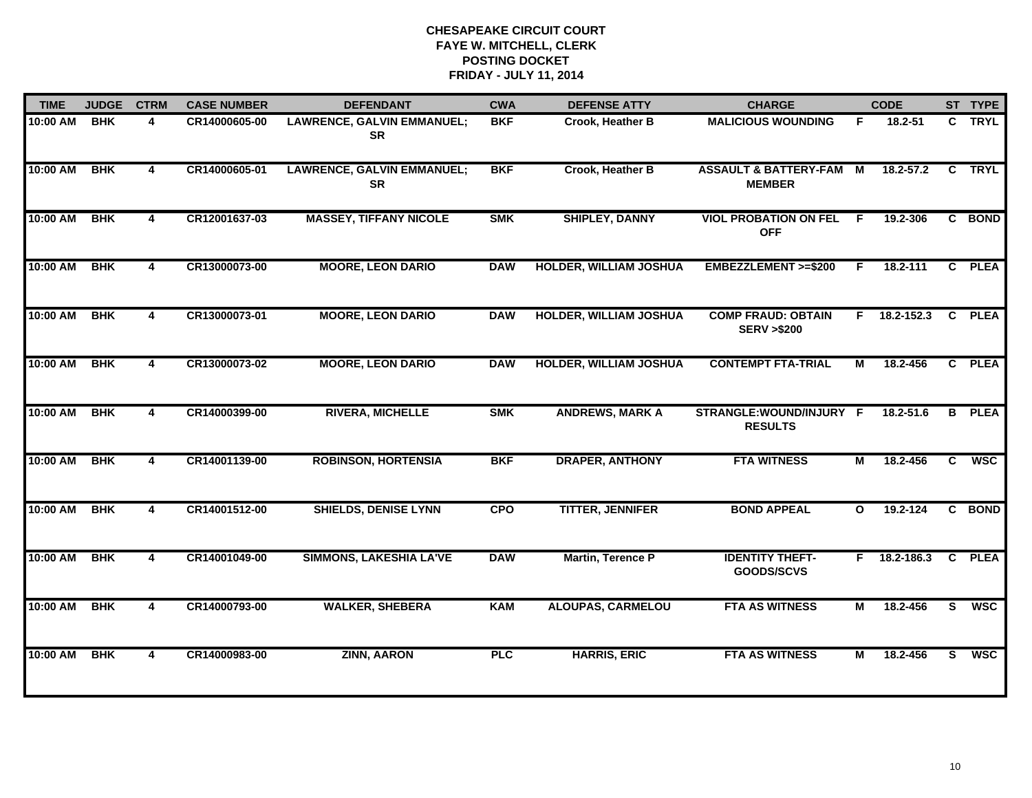| <b>TIME</b> | <b>JUDGE</b> | <b>CTRM</b>             | <b>CASE NUMBER</b> | <b>DEFENDANT</b>                               | <b>CWA</b> | <b>DEFENSE ATTY</b>           | <b>CHARGE</b>                                       |                | <b>CODE</b>    |              | ST TYPE     |
|-------------|--------------|-------------------------|--------------------|------------------------------------------------|------------|-------------------------------|-----------------------------------------------------|----------------|----------------|--------------|-------------|
| 10:00 AM    | <b>BHK</b>   | 4                       | CR14000605-00      | <b>LAWRENCE, GALVIN EMMANUEL;</b><br><b>SR</b> | <b>BKF</b> | <b>Crook, Heather B</b>       | <b>MALICIOUS WOUNDING</b>                           | F.             | 18.2-51        |              | C TRYL      |
| 10:00 AM    | <b>BHK</b>   | $\overline{\mathbf{4}}$ | CR14000605-01      | <b>LAWRENCE, GALVIN EMMANUEL;</b><br><b>SR</b> | <b>BKF</b> | Crook, Heather B              | <b>ASSAULT &amp; BATTERY-FAM M</b><br><b>MEMBER</b> |                | $18.2 - 57.2$  |              | C TRYL      |
| 10:00 AM    | <b>BHK</b>   | 4                       | CR12001637-03      | <b>MASSEY, TIFFANY NICOLE</b>                  | <b>SMK</b> | <b>SHIPLEY, DANNY</b>         | <b>VIOL PROBATION ON FEL</b><br><b>OFF</b>          | - F            | 19.2-306       |              | C BOND      |
| 10:00 AM    | <b>BHK</b>   | 4                       | CR13000073-00      | <b>MOORE, LEON DARIO</b>                       | <b>DAW</b> | <b>HOLDER, WILLIAM JOSHUA</b> | EMBEZZLEMENT >=\$200                                | F.             | 18.2-111       |              | C PLEA      |
| 10:00 AM    | <b>BHK</b>   | 4                       | CR13000073-01      | <b>MOORE, LEON DARIO</b>                       | <b>DAW</b> | <b>HOLDER, WILLIAM JOSHUA</b> | <b>COMP FRAUD: OBTAIN</b><br><b>SERV &gt;\$200</b>  |                | F 18.2-152.3   | C            | <b>PLEA</b> |
| 10:00 AM    | <b>BHK</b>   | 4                       | CR13000073-02      | <b>MOORE, LEON DARIO</b>                       | <b>DAW</b> | <b>HOLDER, WILLIAM JOSHUA</b> | <b>CONTEMPT FTA-TRIAL</b>                           | М              | 18.2-456       | C.           | <b>PLEA</b> |
| 10:00 AM    | <b>BHK</b>   | 4                       | CR14000399-00      | <b>RIVERA, MICHELLE</b>                        | <b>SMK</b> | <b>ANDREWS, MARK A</b>        | STRANGLE:WOUND/INJURY F<br><b>RESULTS</b>           |                | 18.2-51.6      | B            | <b>PLEA</b> |
| 10:00 AM    | <b>BHK</b>   | 4                       | CR14001139-00      | <b>ROBINSON, HORTENSIA</b>                     | <b>BKF</b> | <b>DRAPER, ANTHONY</b>        | <b>FTA WITNESS</b>                                  | $\overline{M}$ | 18.2-456       | C            | <b>WSC</b>  |
| 10:00 AM    | <b>BHK</b>   | 4                       | CR14001512-00      | <b>SHIELDS, DENISE LYNN</b>                    | <b>CPO</b> | <b>TITTER, JENNIFER</b>       | <b>BOND APPEAL</b>                                  | $\mathbf{o}$   | 19.2-124       | C.           | <b>BOND</b> |
| 10:00 AM    | <b>BHK</b>   | 4                       | CR14001049-00      | <b>SIMMONS, LAKESHIA LA'VE</b>                 | <b>DAW</b> | <b>Martin, Terence P</b>      | <b>IDENTITY THEFT-</b><br>GOODS/SCVS                |                | $F$ 18.2-186.3 | $\mathbf{c}$ | <b>PLEA</b> |
| 10:00 AM    | <b>BHK</b>   | 4                       | CR14000793-00      | <b>WALKER, SHEBERA</b>                         | <b>KAM</b> | <b>ALOUPAS, CARMELOU</b>      | <b>FTA AS WITNESS</b>                               | М              | 18.2-456       | S.           | <b>WSC</b>  |
| 10:00 AM    | <b>BHK</b>   | 4                       | CR14000983-00      | <b>ZINN, AARON</b>                             | <b>PLC</b> | <b>HARRIS, ERIC</b>           | <b>FTA AS WITNESS</b>                               | м              | 18.2-456       | S            | <b>WSC</b>  |